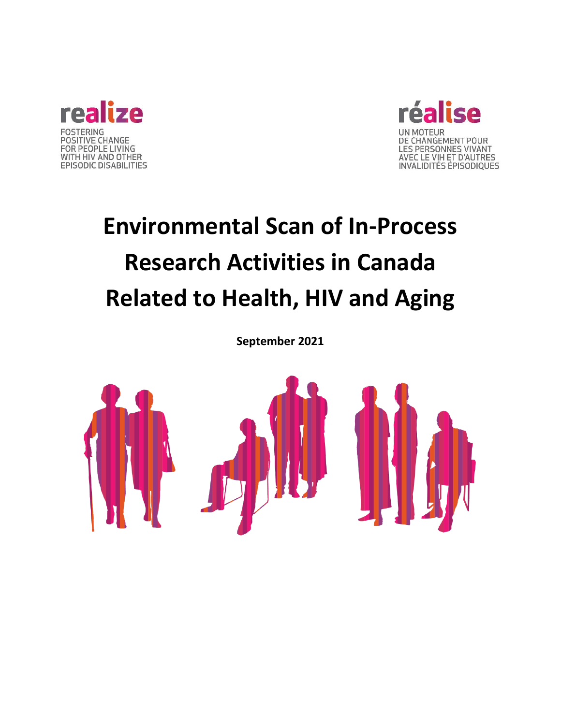



# **Environmental Scan of In-Process Research Activities in Canada Related to Health, HIV and Aging**

**September 2021**

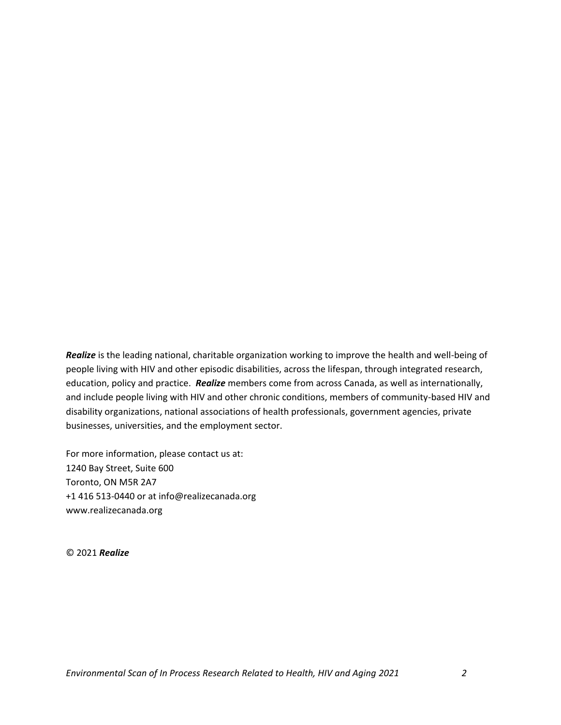*Realize* is the leading national, charitable organization working to improve the health and well-being of people living with HIV and other episodic disabilities, across the lifespan, through integrated research, education, policy and practice. *Realize* members come from across Canada, as well as internationally, and include people living with HIV and other chronic conditions, members of community-based HIV and disability organizations, national associations of health professionals, government agencies, private businesses, universities, and the employment sector.

For more information, please contact us at: 1240 Bay Street, Suite 600 Toronto, ON M5R 2A7 +1 416 513-0440 or at info@realizecanada.org www.realizecanada.org

© 2021 *Realize*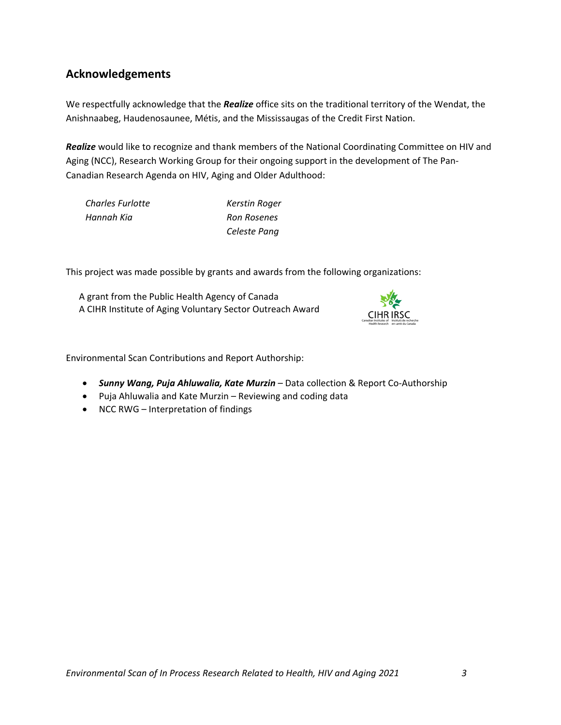## **Acknowledgements**

We respectfully acknowledge that the *Realize* office sits on the traditional territory of the Wendat, the Anishnaabeg, Haudenosaunee, Métis, and the Mississaugas of the Credit First Nation.

*Realize* would like to recognize and thank members of the National Coordinating Committee on HIV and Aging (NCC), Research Working Group for their ongoing support in the development of The Pan-Canadian Research Agenda on HIV, Aging and Older Adulthood:

*Charles Furlotte Kerstin Roger Hannah Kia Ron Rosenes*

*Celeste Pang*

This project was made possible by grants and awards from the following organizations:

A grant from the Public Health Agency of Canada A CIHR Institute of Aging Voluntary Sector Outreach Award



Environmental Scan Contributions and Report Authorship:

- *Sunny Wang, Puja Ahluwalia, Kate Murzin* Data collection & Report Co-Authorship
- Puja Ahluwalia and Kate Murzin Reviewing and coding data
- NCC RWG Interpretation of findings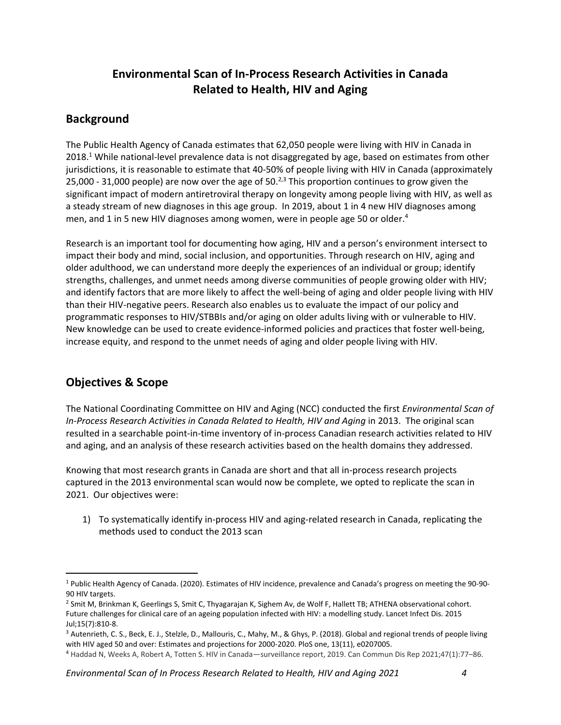# **Environmental Scan of In-Process Research Activities in Canada Related to Health, HIV and Aging**

## **Background**

The Public Health Agency of Canada estimates that 62,050 people were living with HIV in Canada in 2018.<sup>1</sup> While national-level prevalence data is not disaggregated by age, based on estimates from other jurisdictions, it is reasonable to estimate that 40-50% of people living with HIV in Canada (approximately 25,000 - 31,000 people) are now over the age of 50.<sup>2,3</sup> This proportion continues to grow given the significant impact of modern antiretroviral therapy on longevity among people living with HIV, as well as a steady stream of new diagnoses in this age group. In 2019, about 1 in 4 new HIV diagnoses among men, and 1 in 5 new HIV diagnoses among women, were in people age 50 or older.<sup>4</sup>

Research is an important tool for documenting how aging, HIV and a person's environment intersect to impact their body and mind, social inclusion, and opportunities. Through research on HIV, aging and older adulthood, we can understand more deeply the experiences of an individual or group; identify strengths, challenges, and unmet needs among diverse communities of people growing older with HIV; and identify factors that are more likely to affect the well-being of aging and older people living with HIV than their HIV-negative peers. Research also enables us to evaluate the impact of our policy and programmatic responses to HIV/STBBIs and/or aging on older adults living with or vulnerable to HIV. New knowledge can be used to create evidence-informed policies and practices that foster well-being, increase equity, and respond to the unmet needs of aging and older people living with HIV.

# **Objectives & Scope**

The National Coordinating Committee on HIV and Aging (NCC) conducted the first *Environmental Scan of In-Process Research Activities in Canada Related to Health, HIV and Aging* in 2013. The original scan resulted in a searchable point-in-time inventory of in-process Canadian research activities related to HIV and aging, and an analysis of these research activities based on the health domains they addressed.

Knowing that most research grants in Canada are short and that all in-process research projects captured in the 2013 environmental scan would now be complete, we opted to replicate the scan in 2021. Our objectives were:

1) To systematically identify in-process HIV and aging-related research in Canada, replicating the methods used to conduct the 2013 scan

<sup>1</sup> Public Health Agency of Canada. (2020). Estimates of HIV incidence, prevalence and Canada's progress on meeting the 90-90- 90 HIV targets.

<sup>&</sup>lt;sup>2</sup> Smit M, Brinkman K, Geerlings S, Smit C, Thyagarajan K, Sighem Av, de Wolf F, Hallett TB; ATHENA observational cohort. Future challenges for clinical care of an ageing population infected with HIV: a modelling study. Lancet Infect Dis. 2015 Jul;15(7):810-8.

<sup>3</sup> Autenrieth, C. S., Beck, E. J., Stelzle, D., Mallouris, C., Mahy, M., & Ghys, P. (2018). Global and regional trends of people living with HIV aged 50 and over: Estimates and projections for 2000-2020. PloS one, 13(11), e0207005.

<sup>4</sup> Haddad N, Weeks A, Robert A, Totten S. HIV in Canada—surveillance report, 2019. Can Commun Dis Rep 2021;47(1):77–86.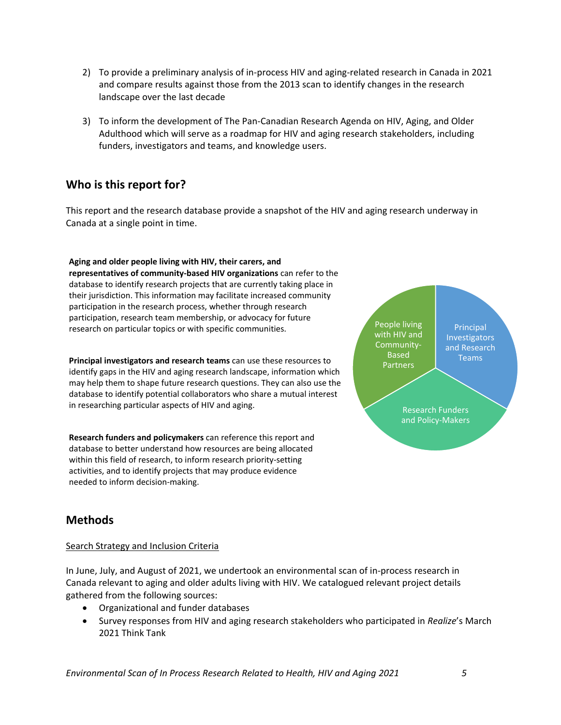- 2) To provide a preliminary analysis of in-process HIV and aging-related research in Canada in 2021 and compare results against those from the 2013 scan to identify changes in the research landscape over the last decade
- 3) To inform the development of The Pan-Canadian Research Agenda on HIV, Aging, and Older Adulthood which will serve as a roadmap for HIV and aging research stakeholders, including funders, investigators and teams, and knowledge users.

# **Who is this report for?**

This report and the research database provide a snapshot of the HIV and aging research underway in Canada at a single point in time.

**Aging and older people living with HIV, their carers, and representatives of community-based HIV organizations** can refer to the database to identify research projects that are currently taking place in their jurisdiction. This information may facilitate increased community participation in the research process, whether through research participation, research team membership, or advocacy for future research on particular topics or with specific communities.

**Principal investigators and research teams** can use these resources to identify gaps in the HIV and aging research landscape, information which may help them to shape future research questions. They can also use the database to identify potential collaborators who share a mutual interest in researching particular aspects of HIV and aging.

**Research funders and policymakers** can reference this report and database to better understand how resources are being allocated within this field of research, to inform research priority-setting activities, and to identify projects that may produce evidence needed to inform decision-making.



# **Methods**

#### Search Strategy and Inclusion Criteria

In June, July, and August of 2021, we undertook an environmental scan of in-process research in Canada relevant to aging and older adults living with HIV. We catalogued relevant project details gathered from the following sources:

- Organizational and funder databases
- Survey responses from HIV and aging research stakeholders who participated in *Realize*'s March 2021 Think Tank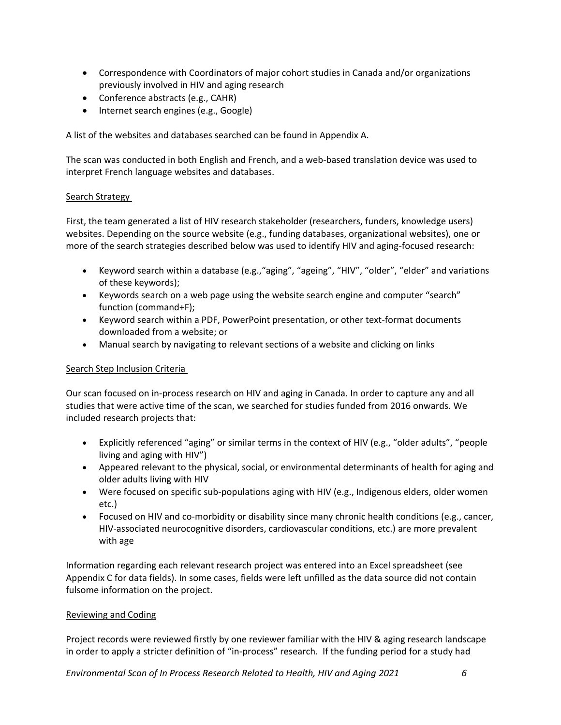- Correspondence with Coordinators of major cohort studies in Canada and/or organizations previously involved in HIV and aging research
- Conference abstracts (e.g., CAHR)
- Internet search engines (e.g., Google)

A list of the websites and databases searched can be found in Appendix A.

The scan was conducted in both English and French, and a web-based translation device was used to interpret French language websites and databases.

#### Search Strategy

First, the team generated a list of HIV research stakeholder (researchers, funders, knowledge users) websites. Depending on the source website (e.g., funding databases, organizational websites), one or more of the search strategies described below was used to identify HIV and aging-focused research:

- Keyword search within a database (e.g.,"aging", "ageing", "HIV", "older", "elder" and variations of these keywords);
- Keywords search on a web page using the website search engine and computer "search" function (command+F);
- Keyword search within a PDF, PowerPoint presentation, or other text-format documents downloaded from a website; or
- Manual search by navigating to relevant sections of a website and clicking on links

#### Search Step Inclusion Criteria

Our scan focused on in-process research on HIV and aging in Canada. In order to capture any and all studies that were active time of the scan, we searched for studies funded from 2016 onwards. We included research projects that:

- Explicitly referenced "aging" or similar terms in the context of HIV (e.g., "older adults", "people living and aging with HIV")
- Appeared relevant to the physical, social, or environmental determinants of health for aging and older adults living with HIV
- Were focused on specific sub-populations aging with HIV (e.g., Indigenous elders, older women etc.)
- Focused on HIV and co-morbidity or disability since many chronic health conditions (e.g., cancer, HIV-associated neurocognitive disorders, cardiovascular conditions, etc.) are more prevalent with age

Information regarding each relevant research project was entered into an Excel spreadsheet (see Appendix C for data fields). In some cases, fields were left unfilled as the data source did not contain fulsome information on the project.

#### Reviewing and Coding

Project records were reviewed firstly by one reviewer familiar with the HIV & aging research landscape in order to apply a stricter definition of "in-process" research. If the funding period for a study had

*Environmental Scan of In Process Research Related to Health, HIV and Aging 2021 6*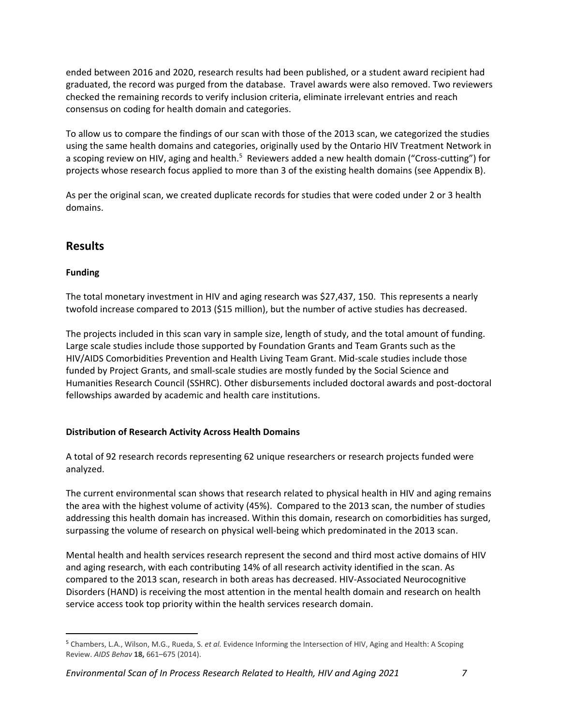ended between 2016 and 2020, research results had been published, or a student award recipient had graduated, the record was purged from the database. Travel awards were also removed. Two reviewers checked the remaining records to verify inclusion criteria, eliminate irrelevant entries and reach consensus on coding for health domain and categories.

To allow us to compare the findings of our scan with those of the 2013 scan, we categorized the studies using the same health domains and categories, originally used by the Ontario HIV Treatment Network in a scoping review on HIV, aging and health.<sup>5</sup> Reviewers added a new health domain ("Cross-cutting") for projects whose research focus applied to more than 3 of the existing health domains (see Appendix B).

As per the original scan, we created duplicate records for studies that were coded under 2 or 3 health domains.

## **Results**

## **Funding**

The total monetary investment in HIV and aging research was \$27,437, 150. This represents a nearly twofold increase compared to 2013 (\$15 million), but the number of active studies has decreased.

The projects included in this scan vary in sample size, length of study, and the total amount of funding. Large scale studies include those supported by Foundation Grants and Team Grants such as the HIV/AIDS Comorbidities Prevention and Health Living Team Grant. Mid-scale studies include those funded by Project Grants, and small-scale studies are mostly funded by the Social Science and Humanities Research Council (SSHRC). Other disbursements included doctoral awards and post-doctoral fellowships awarded by academic and health care institutions.

## **Distribution of Research Activity Across Health Domains**

A total of 92 research records representing 62 unique researchers or research projects funded were analyzed.

The current environmental scan shows that research related to physical health in HIV and aging remains the area with the highest volume of activity (45%). Compared to the 2013 scan, the number of studies addressing this health domain has increased. Within this domain, research on comorbidities has surged, surpassing the volume of research on physical well-being which predominated in the 2013 scan.

Mental health and health services research represent the second and third most active domains of HIV and aging research, with each contributing 14% of all research activity identified in the scan. As compared to the 2013 scan, research in both areas has decreased. HIV-Associated Neurocognitive Disorders (HAND) is receiving the most attention in the mental health domain and research on health service access took top priority within the health services research domain.

<sup>5</sup> Chambers, L.A., Wilson, M.G., Rueda, S. *et al.* Evidence Informing the Intersection of HIV, Aging and Health: A Scoping Review. *AIDS Behav* **18,** 661–675 (2014).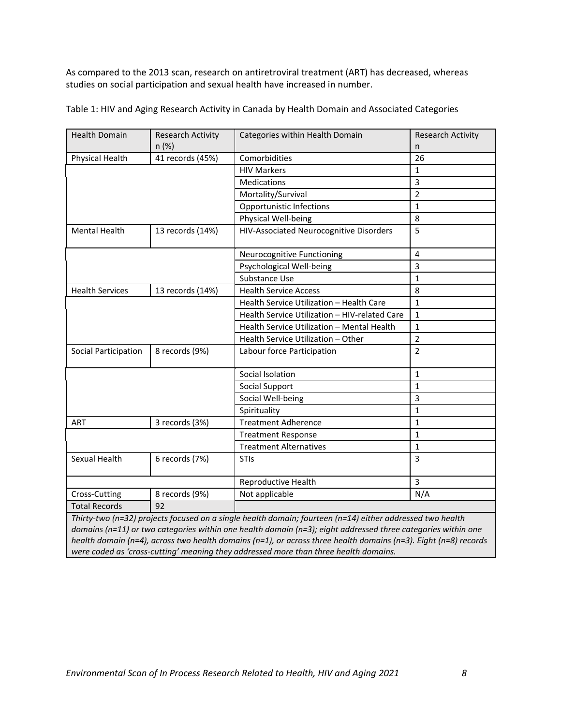As compared to the 2013 scan, research on antiretroviral treatment (ART) has decreased, whereas studies on social participation and sexual health have increased in number.

| <b>Health Domain</b>   | <b>Research Activity</b> | Categories within Health Domain               | <b>Research Activity</b> |
|------------------------|--------------------------|-----------------------------------------------|--------------------------|
|                        | n (%)                    |                                               | n.                       |
| <b>Physical Health</b> | 41 records (45%)         | Comorbidities                                 | 26                       |
|                        |                          | <b>HIV Markers</b>                            | $\mathbf{1}$             |
|                        |                          | <b>Medications</b>                            | 3                        |
|                        |                          | Mortality/Survival                            | $\overline{2}$           |
|                        |                          | Opportunistic Infections                      | $\mathbf{1}$             |
|                        |                          | Physical Well-being                           | 8                        |
| Mental Health          | 13 records (14%)         | HIV-Associated Neurocognitive Disorders       | 5                        |
|                        |                          | Neurocognitive Functioning                    | $\overline{4}$           |
|                        |                          | Psychological Well-being                      | 3                        |
|                        |                          | Substance Use                                 | $\mathbf{1}$             |
| <b>Health Services</b> | 13 records (14%)         | <b>Health Service Access</b>                  | 8                        |
|                        |                          | Health Service Utilization - Health Care      | 1                        |
|                        |                          | Health Service Utilization - HIV-related Care | $\mathbf{1}$             |
|                        |                          | Health Service Utilization - Mental Health    | $\mathbf{1}$             |
|                        |                          | Health Service Utilization - Other            | $\overline{2}$           |
| Social Participation   | 8 records (9%)           | Labour force Participation                    | $\overline{2}$           |
|                        |                          | Social Isolation                              | $\mathbf{1}$             |
|                        |                          | Social Support                                | $\mathbf{1}$             |
|                        |                          | Social Well-being                             | 3                        |
|                        |                          | Spirituality                                  | $\mathbf{1}$             |
| ART                    | 3 records (3%)           | <b>Treatment Adherence</b>                    | $\mathbf{1}$             |
|                        |                          | <b>Treatment Response</b>                     | $\mathbf{1}$             |
|                        |                          | <b>Treatment Alternatives</b>                 | $\mathbf{1}$             |
| Sexual Health          | 6 records (7%)           | STIs                                          | 3                        |
|                        |                          | Reproductive Health                           | 3                        |
| Cross-Cutting          | 8 records (9%)           | Not applicable                                | N/A                      |
| <b>Total Records</b>   | 92                       |                                               |                          |

Table 1: HIV and Aging Research Activity in Canada by Health Domain and Associated Categories

*domains (n=11) or two categories within one health domain (n=3); eight addressed three categories within one health domain (n=4), across two health domains (n=1), or across three health domains (n=3). Eight (n=8) records were coded as 'cross-cutting' meaning they addressed more than three health domains.*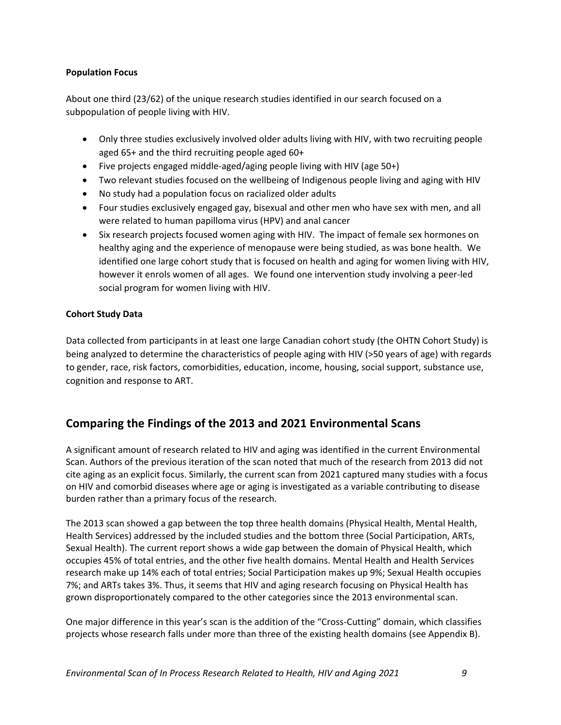#### **Population Focus**

About one third (23/62) of the unique research studies identified in our search focused on a subpopulation of people living with HIV.

- Only three studies exclusively involved older adults living with HIV, with two recruiting people aged 65+ and the third recruiting people aged 60+
- Five projects engaged middle-aged/aging people living with HIV (age 50+)
- Two relevant studies focused on the wellbeing of Indigenous people living and aging with HIV
- No study had a population focus on racialized older adults
- Four studies exclusively engaged gay, bisexual and other men who have sex with men, and all were related to human papilloma virus (HPV) and anal cancer
- Six research projects focused women aging with HIV. The impact of female sex hormones on healthy aging and the experience of menopause were being studied, as was bone health. We identified one large cohort study that is focused on health and aging for women living with HIV, however it enrols women of all ages. We found one intervention study involving a peer-led social program for women living with HIV.

## **Cohort Study Data**

Data collected from participants in at least one large Canadian cohort study (the OHTN Cohort Study) is being analyzed to determine the characteristics of people aging with HIV (>50 years of age) with regards to gender, race, risk factors, comorbidities, education, income, housing, social support, substance use, cognition and response to ART.

## **Comparing the Findings of the 2013 and 2021 Environmental Scans**

A significant amount of research related to HIV and aging was identified in the current Environmental Scan. Authors of the previous iteration of the scan noted that much of the research from 2013 did not cite aging as an explicit focus. Similarly, the current scan from 2021 captured many studies with a focus on HIV and comorbid diseases where age or aging is investigated as a variable contributing to disease burden rather than a primary focus of the research.

The 2013 scan showed a gap between the top three health domains (Physical Health, Mental Health, Health Services) addressed by the included studies and the bottom three (Social Participation, ARTs, Sexual Health). The current report shows a wide gap between the domain of Physical Health, which occupies 45% of total entries, and the other five health domains. Mental Health and Health Services research make up 14% each of total entries; Social Participation makes up 9%; Sexual Health occupies 7%; and ARTs takes 3%. Thus, it seems that HIV and aging research focusing on Physical Health has grown disproportionately compared to the other categories since the 2013 environmental scan.

One major difference in this year's scan is the addition of the "Cross-Cutting" domain, which classifies projects whose research falls under more than three of the existing health domains (see Appendix B).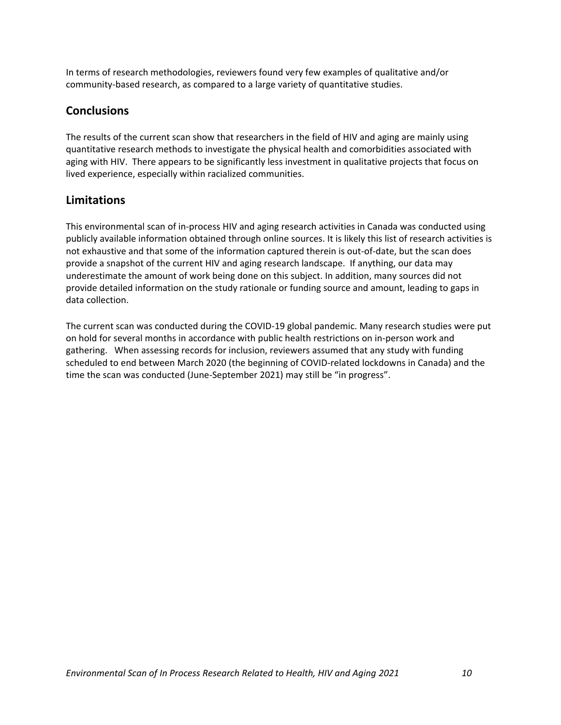In terms of research methodologies, reviewers found very few examples of qualitative and/or community-based research, as compared to a large variety of quantitative studies.

## **Conclusions**

The results of the current scan show that researchers in the field of HIV and aging are mainly using quantitative research methods to investigate the physical health and comorbidities associated with aging with HIV. There appears to be significantly less investment in qualitative projects that focus on lived experience, especially within racialized communities.

# **Limitations**

This environmental scan of in-process HIV and aging research activities in Canada was conducted using publicly available information obtained through online sources. It is likely this list of research activities is not exhaustive and that some of the information captured therein is out-of-date, but the scan does provide a snapshot of the current HIV and aging research landscape. If anything, our data may underestimate the amount of work being done on this subject. In addition, many sources did not provide detailed information on the study rationale or funding source and amount, leading to gaps in data collection.

The current scan was conducted during the COVID-19 global pandemic. Many research studies were put on hold for several months in accordance with public health restrictions on in-person work and gathering. When assessing records for inclusion, reviewers assumed that any study with funding scheduled to end between March 2020 (the beginning of COVID-related lockdowns in Canada) and the time the scan was conducted (June-September 2021) may still be "in progress".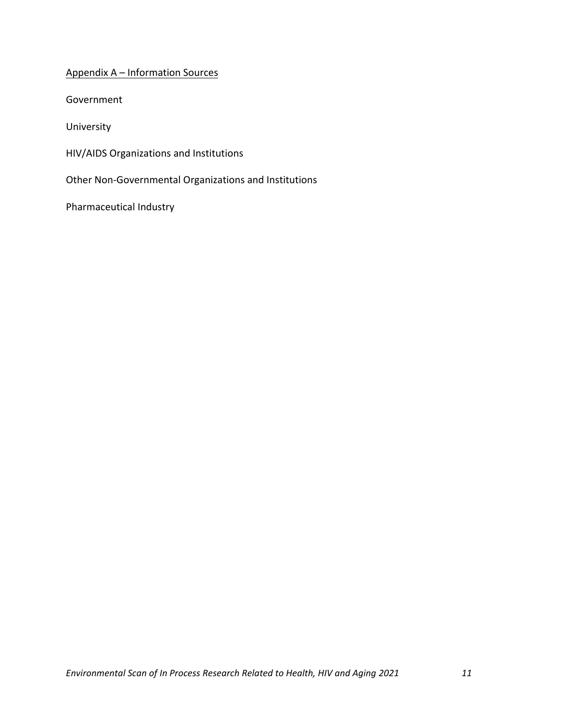## Appendix A – Information Sources

Government

University

HIV/AIDS Organizations and Institutions

Other Non-Governmental Organizations and Institutions

Pharmaceutical Industry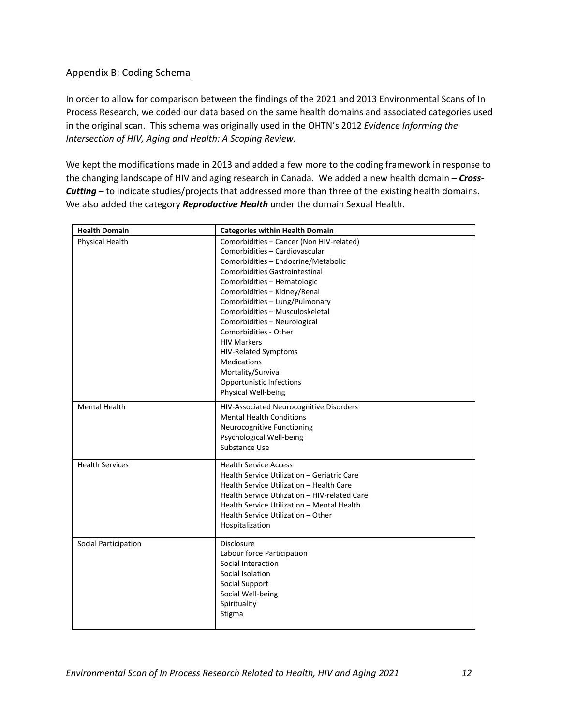## Appendix B: Coding Schema

In order to allow for comparison between the findings of the 2021 and 2013 Environmental Scans of In Process Research, we coded our data based on the same health domains and associated categories used in the original scan. This schema was originally used in the OHTN's 2012 *Evidence Informing the Intersection of HIV, Aging and Health: A Scoping Review.* 

We kept the modifications made in 2013 and added a few more to the coding framework in response to the changing landscape of HIV and aging research in Canada. We added a new health domain – *Cross-Cutting* – to indicate studies/projects that addressed more than three of the existing health domains. We also added the category *Reproductive Health* under the domain Sexual Health.

| <b>Health Domain</b>   | <b>Categories within Health Domain</b>                                                                                                                                                                                                                                                                                                                                                                                                                                                                             |
|------------------------|--------------------------------------------------------------------------------------------------------------------------------------------------------------------------------------------------------------------------------------------------------------------------------------------------------------------------------------------------------------------------------------------------------------------------------------------------------------------------------------------------------------------|
| Physical Health        | Comorbidities - Cancer (Non HIV-related)<br>Comorbidities - Cardiovascular<br>Comorbidities - Endocrine/Metabolic<br><b>Comorbidities Gastrointestinal</b><br>Comorbidities - Hematologic<br>Comorbidities - Kidney/Renal<br>Comorbidities - Lung/Pulmonary<br>Comorbidities - Musculoskeletal<br>Comorbidities - Neurological<br>Comorbidities - Other<br><b>HIV Markers</b><br><b>HIV-Related Symptoms</b><br><b>Medications</b><br>Mortality/Survival<br><b>Opportunistic Infections</b><br>Physical Well-being |
| <b>Mental Health</b>   | HIV-Associated Neurocognitive Disorders<br><b>Mental Health Conditions</b><br>Neurocognitive Functioning<br>Psychological Well-being<br>Substance Use                                                                                                                                                                                                                                                                                                                                                              |
| <b>Health Services</b> | <b>Health Service Access</b><br>Health Service Utilization - Geriatric Care<br>Health Service Utilization - Health Care<br>Health Service Utilization - HIV-related Care<br>Health Service Utilization - Mental Health<br>Health Service Utilization - Other<br>Hospitalization                                                                                                                                                                                                                                    |
| Social Participation   | Disclosure<br>Labour force Participation<br>Social Interaction<br>Social Isolation<br>Social Support<br>Social Well-being<br>Spirituality<br>Stigma                                                                                                                                                                                                                                                                                                                                                                |